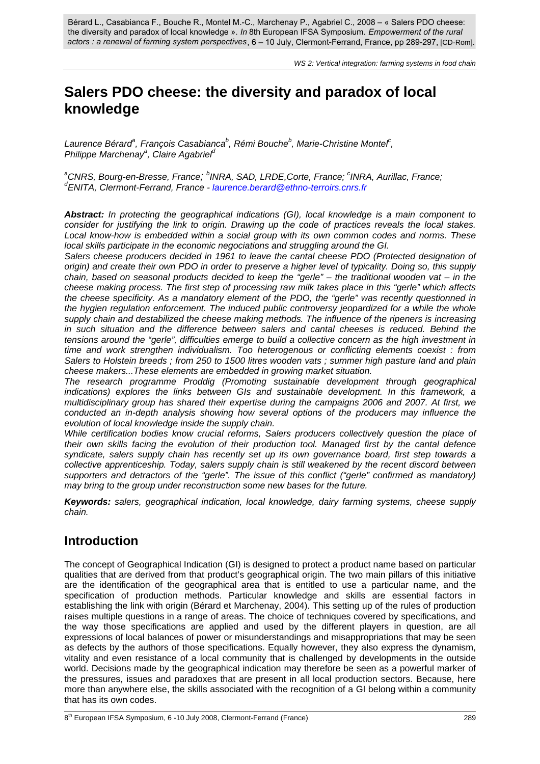Bérard L., Casabianca F., Bouche R., Montel M.-C., Marchenay P., Agabriel C., 2008 – « Salers PDO cheese: the diversity and paradox of local knowledge ». In 8th European IFSA Symposium. Empowerment of the rural *actors : a renewal of farming system perspectives*, 6 – 10 July, Clermont-Ferrand, France, pp 289-297, [CD-Rom]. *In Empowerment of the rural* 

# **Salers PDO cheese: the diversity and paradox of local knowledge**

Laurence Bérard<sup>a</sup>, François Casabianca<sup>b</sup>, Rémi Bouche<sup>b</sup>, Marie-Christine Montel<sup>c</sup>, *Philippe Marchenay<sup>a</sup> , Claire Agabriel<sup>d</sup>*

<sup>a</sup>CNRS, Bourg-en-Bresse, France; <sup>b</sup>INRA, SAD, LRDE,Corte, France; <sup>c</sup>INRA, Aurillac, France; *d ENITA, Clermont-Ferrand, France - laurence.berard@ethno-terroirs.cnrs.fr*

*Abstract: In protecting the geographical indications (GI), local knowledge is a main component to consider for justifying the link to origin. Drawing up the code of practices reveals the local stakes. Local know-how is embedded within a social group with its own common codes and norms. These local skills participate in the economic negociations and struggling around the GI.* 

*Salers cheese producers decided in 1961 to leave the cantal cheese PDO (Protected designation of origin) and create their own PDO in order to preserve a higher level of typicality. Doing so, this supply chain, based on seasonal products decided to keep the "gerle" – the traditional wooden vat – in the cheese making process. The first step of processing raw milk takes place in this "gerle" which affects the cheese specificity. As a mandatory element of the PDO, the "gerle" was recently questionned in the hygien regulation enforcement. The induced public controversy jeopardized for a while the whole supply chain and destabilized the cheese making methods. The influence of the ripeners is increasing in such situation and the difference between salers and cantal cheeses is reduced. Behind the tensions around the "gerle", difficulties emerge to build a collective concern as the high investment in time and work strengthen individualism. Too heterogenous or conflicting elements coexist : from Salers to Holstein breeds ; from 250 to 1500 litres wooden vats ; summer high pasture land and plain cheese makers...These elements are embedded in growing market situation.* 

*The research programme Proddig (Promoting sustainable development through geographical indications) explores the links between GIs and sustainable development. In this framework, a multidisciplinary group has shared their expertise during the campaigns 2006 and 2007. At first, we conducted an in-depth analysis showing how several options of the producers may influence the evolution of local knowledge inside the supply chain.* 

*While certification bodies know crucial reforms, Salers producers collectively question the place of their own skills facing the evolution of their production tool. Managed first by the cantal defence syndicate, salers supply chain has recently set up its own governance board, first step towards a collective apprenticeship. Today, salers supply chain is still weakened by the recent discord between supporters and detractors of the "gerle". The issue of this conflict ("gerle" confirmed as mandatory) may bring to the group under reconstruction some new bases for the future.* 

*Keywords: salers, geographical indication, local knowledge, dairy farming systems, cheese supply chain.*

### **Introduction**

The concept of Geographical Indication (GI) is designed to protect a product name based on particular qualities that are derived from that product's geographical origin. The two main pillars of this initiative are the identification of the geographical area that is entitled to use a particular name, and the specification of production methods. Particular knowledge and skills are essential factors in establishing the link with origin (Bérard et Marchenay, 2004). This setting up of the rules of production raises multiple questions in a range of areas. The choice of techniques covered by specifications, and the way those specifications are applied and used by the different players in question, are all expressions of local balances of power or misunderstandings and misappropriations that may be seen as defects by the authors of those specifications. Equally however, they also express the dynamism, vitality and even resistance of a local community that is challenged by developments in the outside world. Decisions made by the geographical indication may therefore be seen as a powerful marker of the pressures, issues and paradoxes that are present in all local production sectors. Because, here more than anywhere else, the skills associated with the recognition of a GI belong within a community that has its own codes.

<sup>8&</sup>lt;sup>th</sup> European IFSA Symposium, 6 -10 July 2008, Clermont-Ferrand (France) 289 289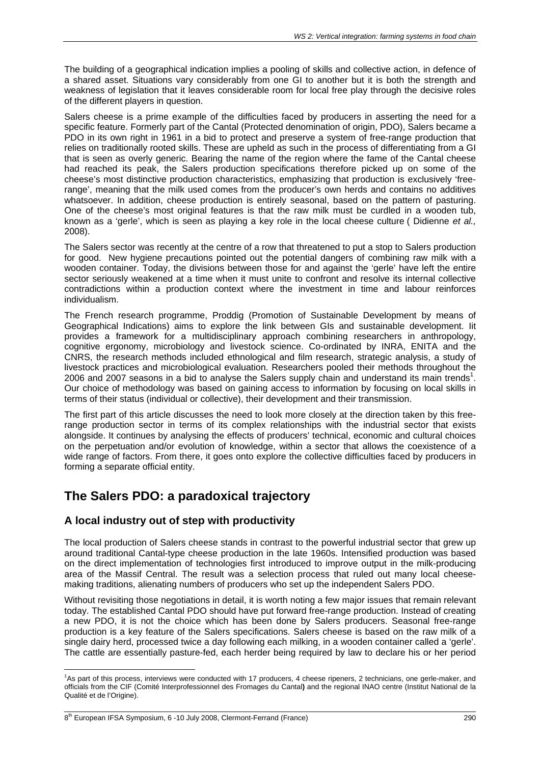The building of a geographical indication implies a pooling of skills and collective action, in defence of a shared asset. Situations vary considerably from one GI to another but it is both the strength and weakness of legislation that it leaves considerable room for local free play through the decisive roles of the different players in question.

Salers cheese is a prime example of the difficulties faced by producers in asserting the need for a specific feature. Formerly part of the Cantal (Protected denomination of origin, PDO), Salers became a PDO in its own right in 1961 in a bid to protect and preserve a system of free-range production that relies on traditionally rooted skills. These are upheld as such in the process of differentiating from a GI that is seen as overly generic. Bearing the name of the region where the fame of the Cantal cheese had reached its peak, the Salers production specifications therefore picked up on some of the cheese's most distinctive production characteristics, emphasizing that production is exclusively 'freerange', meaning that the milk used comes from the producer's own herds and contains no additives whatsoever. In addition, cheese production is entirely seasonal, based on the pattern of pasturing. One of the cheese's most original features is that the raw milk must be curdled in a wooden tub, known as a 'gerle', which is seen as playing a key role in the local cheese culture ( Didienne *et al.,*  2008).

The Salers sector was recently at the centre of a row that threatened to put a stop to Salers production for good. New hygiene precautions pointed out the potential dangers of combining raw milk with a wooden container. Today, the divisions between those for and against the 'gerle' have left the entire sector seriously weakened at a time when it must unite to confront and resolve its internal collective contradictions within a production context where the investment in time and labour reinforces individualism.

The French research programme, Proddig (Promotion of Sustainable Development by means of Geographical Indications) aims to explore the link between GIs and sustainable development. Iit provides a framework for a multidisciplinary approach combining researchers in anthropology, cognitive ergonomy, microbiology and livestock science. Co-ordinated by INRA, ENITA and the CNRS, the research methods included ethnological and film research, strategic analysis, a study of livestock practices and microbiological evaluation. Researchers pooled their methods throughout the 2006 and 2007 seasons in a bid to analyse the Salers supply chain and understand its main trends<sup>1</sup>. Our choice of methodology was based on gaining access to information by focusing on local skills in terms of their status (individual or collective), their development and their transmission.

The first part of this article discusses the need to look more closely at the direction taken by this freerange production sector in terms of its complex relationships with the industrial sector that exists alongside. It continues by analysing the effects of producers' technical, economic and cultural choices on the perpetuation and/or evolution of knowledge, within a sector that allows the coexistence of a wide range of factors. From there, it goes onto explore the collective difficulties faced by producers in forming a separate official entity.

## **The Salers PDO: a paradoxical trajectory**

### **A local industry out of step with productivity**

The local production of Salers cheese stands in contrast to the powerful industrial sector that grew up around traditional Cantal-type cheese production in the late 1960s. Intensified production was based on the direct implementation of technologies first introduced to improve output in the milk-producing area of the Massif Central. The result was a selection process that ruled out many local cheesemaking traditions, alienating numbers of producers who set up the independent Salers PDO.

Without revisiting those negotiations in detail, it is worth noting a few major issues that remain relevant today. The established Cantal PDO should have put forward free-range production. Instead of creating a new PDO, it is not the choice which has been done by Salers producers. Seasonal free-range production is a key feature of the Salers specifications. Salers cheese is based on the raw milk of a single dairy herd, processed twice a day following each milking, in a wooden container called a 'gerle'. The cattle are essentially pasture-fed, each herder being required by law to declare his or her period

 $\overline{a}$ <sup>1</sup>As part of this process, interviews were conducted with 17 producers, 4 cheese ripeners, 2 technicians, one gerle-maker, and officials from the CIF (Comité Interprofessionnel des Fromages du Cantal**)** and the regional INAO centre (Institut National de la Qualité et de l'Origine).

<sup>8&</sup>lt;sup>th</sup> European IFSA Symposium, 6 -10 July 2008, Clermont-Ferrand (France) 290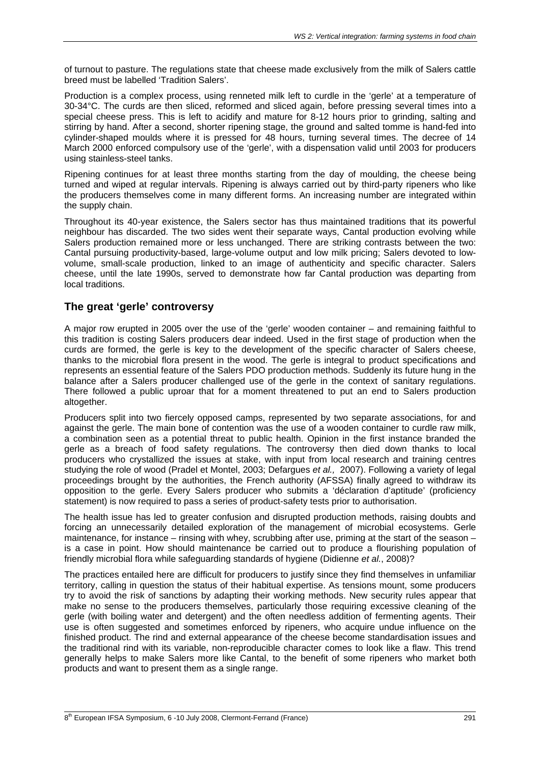of turnout to pasture. The regulations state that cheese made exclusively from the milk of Salers cattle breed must be labelled 'Tradition Salers'.

Production is a complex process, using renneted milk left to curdle in the 'gerle' at a temperature of 30-34°C. The curds are then sliced, reformed and sliced again, before pressing several times into a special cheese press. This is left to acidify and mature for 8-12 hours prior to grinding, salting and stirring by hand. After a second, shorter ripening stage, the ground and salted tomme is hand-fed into cylinder-shaped moulds where it is pressed for 48 hours, turning several times. The decree of 14 March 2000 enforced compulsory use of the 'gerle', with a dispensation valid until 2003 for producers using stainless-steel tanks.

Ripening continues for at least three months starting from the day of moulding, the cheese being turned and wiped at regular intervals. Ripening is always carried out by third-party ripeners who like the producers themselves come in many different forms. An increasing number are integrated within the supply chain.

Throughout its 40-year existence, the Salers sector has thus maintained traditions that its powerful neighbour has discarded. The two sides went their separate ways, Cantal production evolving while Salers production remained more or less unchanged. There are striking contrasts between the two: Cantal pursuing productivity-based, large-volume output and low milk pricing; Salers devoted to lowvolume, small-scale production, linked to an image of authenticity and specific character. Salers cheese, until the late 1990s, served to demonstrate how far Cantal production was departing from local traditions.

#### **The great 'gerle' controversy**

A major row erupted in 2005 over the use of the 'gerle' wooden container – and remaining faithful to this tradition is costing Salers producers dear indeed. Used in the first stage of production when the curds are formed, the gerle is key to the development of the specific character of Salers cheese, thanks to the microbial flora present in the wood. The gerle is integral to product specifications and represents an essential feature of the Salers PDO production methods. Suddenly its future hung in the balance after a Salers producer challenged use of the gerle in the context of sanitary regulations. There followed a public uproar that for a moment threatened to put an end to Salers production altogether.

Producers split into two fiercely opposed camps, represented by two separate associations, for and against the gerle. The main bone of contention was the use of a wooden container to curdle raw milk, a combination seen as a potential threat to public health. Opinion in the first instance branded the gerle as a breach of food safety regulations. The controversy then died down thanks to local producers who crystallized the issues at stake, with input from local research and training centres studying the role of wood (Pradel et Montel, 2003; Defargues *et al.,* 2007). Following a variety of legal proceedings brought by the authorities, the French authority (AFSSA) finally agreed to withdraw its opposition to the gerle. Every Salers producer who submits a 'déclaration d'aptitude' (proficiency statement) is now required to pass a series of product-safety tests prior to authorisation.

The health issue has led to greater confusion and disrupted production methods, raising doubts and forcing an unnecessarily detailed exploration of the management of microbial ecosystems. Gerle maintenance, for instance – rinsing with whey, scrubbing after use, priming at the start of the season – is a case in point. How should maintenance be carried out to produce a flourishing population of friendly microbial flora while safeguarding standards of hygiene (Didienne *et al.*, 2008)?

The practices entailed here are difficult for producers to justify since they find themselves in unfamiliar territory, calling in question the status of their habitual expertise. As tensions mount, some producers try to avoid the risk of sanctions by adapting their working methods. New security rules appear that make no sense to the producers themselves, particularly those requiring excessive cleaning of the gerle (with boiling water and detergent) and the often needless addition of fermenting agents. Their use is often suggested and sometimes enforced by ripeners, who acquire undue influence on the finished product. The rind and external appearance of the cheese become standardisation issues and the traditional rind with its variable, non-reproducible character comes to look like a flaw. This trend generally helps to make Salers more like Cantal, to the benefit of some ripeners who market both products and want to present them as a single range.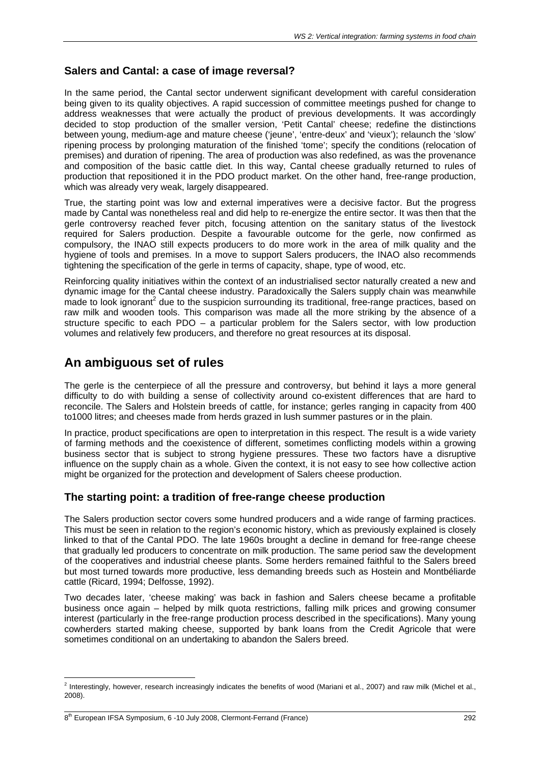#### **Salers and Cantal: a case of image reversal?**

In the same period, the Cantal sector underwent significant development with careful consideration being given to its quality objectives. A rapid succession of committee meetings pushed for change to address weaknesses that were actually the product of previous developments. It was accordingly decided to stop production of the smaller version, 'Petit Cantal' cheese; redefine the distinctions between young, medium-age and mature cheese ('jeune', 'entre-deux' and 'vieux'); relaunch the 'slow' ripening process by prolonging maturation of the finished 'tome'; specify the conditions (relocation of premises) and duration of ripening. The area of production was also redefined, as was the provenance and composition of the basic cattle diet. In this way, Cantal cheese gradually returned to rules of production that repositioned it in the PDO product market. On the other hand, free-range production, which was already very weak, largely disappeared.

True, the starting point was low and external imperatives were a decisive factor. But the progress made by Cantal was nonetheless real and did help to re-energize the entire sector. It was then that the gerle controversy reached fever pitch, focusing attention on the sanitary status of the livestock required for Salers production. Despite a favourable outcome for the gerle, now confirmed as compulsory, the INAO still expects producers to do more work in the area of milk quality and the hygiene of tools and premises. In a move to support Salers producers, the INAO also recommends tightening the specification of the gerle in terms of capacity, shape, type of wood, etc.

Reinforcing quality initiatives within the context of an industrialised sector naturally created a new and dynamic image for the Cantal cheese industry. Paradoxically the Salers supply chain was meanwhile  $m$  made to look ignorant<sup>2</sup> due to the suspicion surrounding its traditional, free-range practices, based on raw milk and wooden tools. This comparison was made all the more striking by the absence of a structure specific to each PDO – a particular problem for the Salers sector, with low production volumes and relatively few producers, and therefore no great resources at its disposal.

### **An ambiguous set of rules**

The gerle is the centerpiece of all the pressure and controversy, but behind it lays a more general difficulty to do with building a sense of collectivity around co-existent differences that are hard to reconcile. The Salers and Holstein breeds of cattle, for instance; gerles ranging in capacity from 400 to1000 litres; and cheeses made from herds grazed in lush summer pastures or in the plain.

In practice, product specifications are open to interpretation in this respect. The result is a wide variety of farming methods and the coexistence of different, sometimes conflicting models within a growing business sector that is subject to strong hygiene pressures. These two factors have a disruptive influence on the supply chain as a whole. Given the context, it is not easy to see how collective action might be organized for the protection and development of Salers cheese production.

#### **The starting point: a tradition of free-range cheese production**

The Salers production sector covers some hundred producers and a wide range of farming practices. This must be seen in relation to the region's economic history, which as previously explained is closely linked to that of the Cantal PDO. The late 1960s brought a decline in demand for free-range cheese that gradually led producers to concentrate on milk production. The same period saw the development of the cooperatives and industrial cheese plants. Some herders remained faithful to the Salers breed but most turned towards more productive, less demanding breeds such as Hostein and Montbéliarde cattle (Ricard, 1994; Delfosse, 1992).

Two decades later, 'cheese making' was back in fashion and Salers cheese became a profitable business once again – helped by milk quota restrictions, falling milk prices and growing consumer interest (particularly in the free-range production process described in the specifications). Many young cowherders started making cheese, supported by bank loans from the Credit Agricole that were sometimes conditional on an undertaking to abandon the Salers breed.

 2 Interestingly, however, research increasingly indicates the benefits of wood (Mariani et al., 2007) and raw milk (Michel et al., 2008).

<sup>8&</sup>lt;sup>th</sup> European IFSA Symposium, 6 -10 July 2008, Clermont-Ferrand (France) 292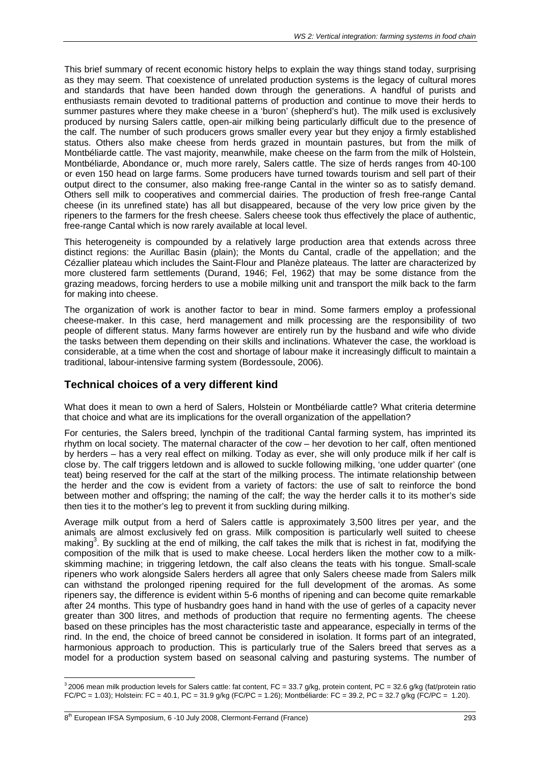This brief summary of recent economic history helps to explain the way things stand today, surprising as they may seem. That coexistence of unrelated production systems is the legacy of cultural mores and standards that have been handed down through the generations. A handful of purists and enthusiasts remain devoted to traditional patterns of production and continue to move their herds to summer pastures where they make cheese in a 'buron' (shepherd's hut). The milk used is exclusively produced by nursing Salers cattle, open-air milking being particularly difficult due to the presence of the calf. The number of such producers grows smaller every year but they enjoy a firmly established status. Others also make cheese from herds grazed in mountain pastures, but from the milk of Montbéliarde cattle. The vast majority, meanwhile, make cheese on the farm from the milk of Holstein, Montbéliarde, Abondance or, much more rarely, Salers cattle. The size of herds ranges from 40-100 or even 150 head on large farms. Some producers have turned towards tourism and sell part of their output direct to the consumer, also making free-range Cantal in the winter so as to satisfy demand. Others sell milk to cooperatives and commercial dairies. The production of fresh free-range Cantal cheese (in its unrefined state) has all but disappeared, because of the very low price given by the ripeners to the farmers for the fresh cheese. Salers cheese took thus effectively the place of authentic, free-range Cantal which is now rarely available at local level.

This heterogeneity is compounded by a relatively large production area that extends across three distinct regions: the Aurillac Basin (plain); the Monts du Cantal, cradle of the appellation; and the Cézallier plateau which includes the Saint-Flour and Planèze plateaus. The latter are characterized by more clustered farm settlements (Durand, 1946; Fel, 1962) that may be some distance from the grazing meadows, forcing herders to use a mobile milking unit and transport the milk back to the farm for making into cheese.

The organization of work is another factor to bear in mind. Some farmers employ a professional cheese-maker. In this case, herd management and milk processing are the responsibility of two people of different status. Many farms however are entirely run by the husband and wife who divide the tasks between them depending on their skills and inclinations. Whatever the case, the workload is considerable, at a time when the cost and shortage of labour make it increasingly difficult to maintain a traditional, labour-intensive farming system (Bordessoule, 2006).

#### **Technical choices of a very different kind**

What does it mean to own a herd of Salers, Holstein or Montbéliarde cattle? What criteria determine that choice and what are its implications for the overall organization of the appellation?

For centuries, the Salers breed, lynchpin of the traditional Cantal farming system, has imprinted its rhythm on local society. The maternal character of the cow – her devotion to her calf, often mentioned by herders – has a very real effect on milking. Today as ever, she will only produce milk if her calf is close by. The calf triggers letdown and is allowed to suckle following milking, 'one udder quarter' (one teat) being reserved for the calf at the start of the milking process. The intimate relationship between the herder and the cow is evident from a variety of factors: the use of salt to reinforce the bond between mother and offspring; the naming of the calf; the way the herder calls it to its mother's side then ties it to the mother's leg to prevent it from suckling during milking.

Average milk output from a herd of Salers cattle is approximately 3,500 litres per year, and the animals are almost exclusively fed on grass. Milk composition is particularly well suited to cheese making<sup>3</sup>. By suckling at the end of milking, the calf takes the milk that is richest in fat, modifying the composition of the milk that is used to make cheese. Local herders liken the mother cow to a milkskimming machine; in triggering letdown, the calf also cleans the teats with his tongue. Small-scale ripeners who work alongside Salers herders all agree that only Salers cheese made from Salers milk can withstand the prolonged ripening required for the full development of the aromas. As some ripeners say, the difference is evident within 5-6 months of ripening and can become quite remarkable after 24 months. This type of husbandry goes hand in hand with the use of gerles of a capacity never greater than 300 litres, and methods of production that require no fermenting agents. The cheese based on these principles has the most characteristic taste and appearance, especially in terms of the rind. In the end, the choice of breed cannot be considered in isolation. It forms part of an integrated, harmonious approach to production. This is particularly true of the Salers breed that serves as a model for a production system based on seasonal calving and pasturing systems. The number of

 $\overline{a}$ 

 $32006$  mean milk production levels for Salers cattle: fat content, FC = 33.7 g/kg, protein content, PC = 32.6 g/kg (fat/protein ratio FC/PC = 1.03); Holstein: FC = 40.1, PC = 31.9 g/kg (FC/PC = 1.26); Montbéliarde: FC = 39.2, PC = 32.7 g/kg (FC/PC = 1.20).

<sup>8&</sup>lt;sup>th</sup> European IFSA Symposium, 6 -10 July 2008, Clermont-Ferrand (France) 293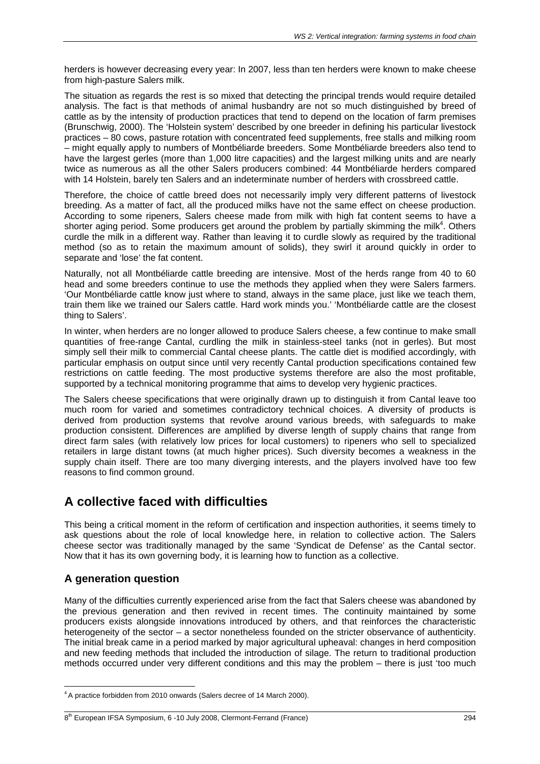herders is however decreasing every year: In 2007, less than ten herders were known to make cheese from high-pasture Salers milk.

The situation as regards the rest is so mixed that detecting the principal trends would require detailed analysis. The fact is that methods of animal husbandry are not so much distinguished by breed of cattle as by the intensity of production practices that tend to depend on the location of farm premises (Brunschwig, 2000). The 'Holstein system' described by one breeder in defining his particular livestock practices – 80 cows, pasture rotation with concentrated feed supplements, free stalls and milking room – might equally apply to numbers of Montbéliarde breeders. Some Montbéliarde breeders also tend to have the largest gerles (more than 1,000 litre capacities) and the largest milking units and are nearly twice as numerous as all the other Salers producers combined: 44 Montbéliarde herders compared with 14 Holstein, barely ten Salers and an indeterminate number of herders with crossbreed cattle.

Therefore, the choice of cattle breed does not necessarily imply very different patterns of livestock breeding. As a matter of fact, all the produced milks have not the same effect on cheese production. According to some ripeners, Salers cheese made from milk with high fat content seems to have a shorter aging period. Some producers get around the problem by partially skimming the milk<sup>4</sup>. Others curdle the milk in a different way. Rather than leaving it to curdle slowly as required by the traditional method (so as to retain the maximum amount of solids), they swirl it around quickly in order to separate and 'lose' the fat content.

Naturally, not all Montbéliarde cattle breeding are intensive. Most of the herds range from 40 to 60 head and some breeders continue to use the methods they applied when they were Salers farmers. 'Our Montbéliarde cattle know just where to stand, always in the same place, just like we teach them, train them like we trained our Salers cattle. Hard work minds you.' 'Montbéliarde cattle are the closest thing to Salers'.

In winter, when herders are no longer allowed to produce Salers cheese, a few continue to make small quantities of free-range Cantal, curdling the milk in stainless-steel tanks (not in gerles). But most simply sell their milk to commercial Cantal cheese plants. The cattle diet is modified accordingly, with particular emphasis on output since until very recently Cantal production specifications contained few restrictions on cattle feeding. The most productive systems therefore are also the most profitable, supported by a technical monitoring programme that aims to develop very hygienic practices.

The Salers cheese specifications that were originally drawn up to distinguish it from Cantal leave too much room for varied and sometimes contradictory technical choices. A diversity of products is derived from production systems that revolve around various breeds, with safeguards to make production consistent. Differences are amplified by diverse length of supply chains that range from direct farm sales (with relatively low prices for local customers) to ripeners who sell to specialized retailers in large distant towns (at much higher prices). Such diversity becomes a weakness in the supply chain itself. There are too many diverging interests, and the players involved have too few reasons to find common ground.

## **A collective faced with difficulties**

This being a critical moment in the reform of certification and inspection authorities, it seems timely to ask questions about the role of local knowledge here, in relation to collective action. The Salers cheese sector was traditionally managed by the same 'Syndicat de Defense' as the Cantal sector. Now that it has its own governing body, it is learning how to function as a collective.

### **A generation question**

Many of the difficulties currently experienced arise from the fact that Salers cheese was abandoned by the previous generation and then revived in recent times. The continuity maintained by some producers exists alongside innovations introduced by others, and that reinforces the characteristic heterogeneity of the sector – a sector nonetheless founded on the stricter observance of authenticity. The initial break came in a period marked by major agricultural upheaval: changes in herd composition and new feeding methods that included the introduction of silage. The return to traditional production methods occurred under very different conditions and this may the problem – there is just 'too much

<sup>&</sup>lt;sup>4</sup> A practice forbidden from 2010 onwards (Salers decree of 14 March 2000).

<sup>8&</sup>lt;sup>th</sup> European IFSA Symposium, 6 -10 July 2008, Clermont-Ferrand (France) 294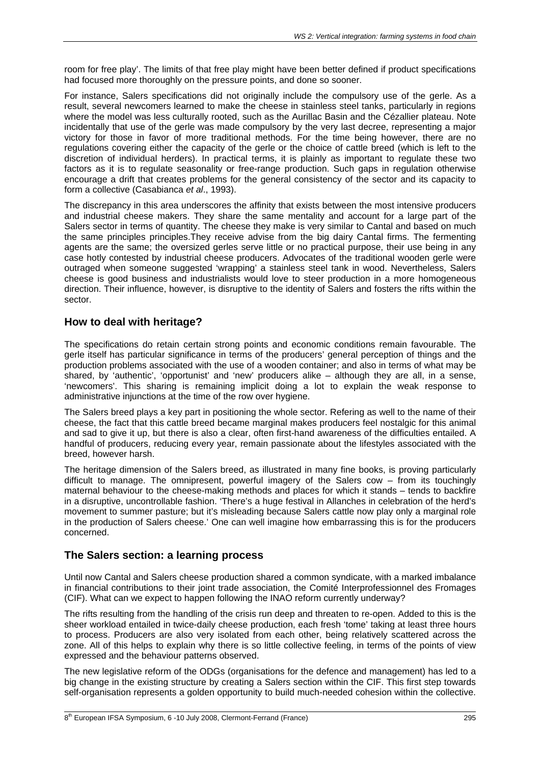room for free play'. The limits of that free play might have been better defined if product specifications had focused more thoroughly on the pressure points, and done so sooner.

For instance, Salers specifications did not originally include the compulsory use of the gerle. As a result, several newcomers learned to make the cheese in stainless steel tanks, particularly in regions where the model was less culturally rooted, such as the Aurillac Basin and the Cézallier plateau. Note incidentally that use of the gerle was made compulsory by the very last decree, representing a major victory for those in favor of more traditional methods. For the time being however, there are no regulations covering either the capacity of the gerle or the choice of cattle breed (which is left to the discretion of individual herders). In practical terms, it is plainly as important to regulate these two factors as it is to regulate seasonality or free-range production. Such gaps in regulation otherwise encourage a drift that creates problems for the general consistency of the sector and its capacity to form a collective (Casabianca *et al*., 1993).

The discrepancy in this area underscores the affinity that exists between the most intensive producers and industrial cheese makers. They share the same mentality and account for a large part of the Salers sector in terms of quantity. The cheese they make is very similar to Cantal and based on much the same principles principles.They receive advise from the big dairy Cantal firms. The fermenting agents are the same; the oversized gerles serve little or no practical purpose, their use being in any case hotly contested by industrial cheese producers. Advocates of the traditional wooden gerle were outraged when someone suggested 'wrapping' a stainless steel tank in wood. Nevertheless, Salers cheese is good business and industrialists would love to steer production in a more homogeneous direction. Their influence, however, is disruptive to the identity of Salers and fosters the rifts within the sector.

#### **How to deal with heritage?**

The specifications do retain certain strong points and economic conditions remain favourable. The gerle itself has particular significance in terms of the producers' general perception of things and the production problems associated with the use of a wooden container; and also in terms of what may be shared, by 'authentic', 'opportunist' and 'new' producers alike – although they are all, in a sense, 'newcomers'. This sharing is remaining implicit doing a lot to explain the weak response to administrative injunctions at the time of the row over hygiene.

The Salers breed plays a key part in positioning the whole sector. Refering as well to the name of their cheese, the fact that this cattle breed became marginal makes producers feel nostalgic for this animal and sad to give it up, but there is also a clear, often first-hand awareness of the difficulties entailed. A handful of producers, reducing every year, remain passionate about the lifestyles associated with the breed, however harsh.

The heritage dimension of the Salers breed, as illustrated in many fine books, is proving particularly difficult to manage. The omnipresent, powerful imagery of the Salers cow – from its touchingly maternal behaviour to the cheese-making methods and places for which it stands – tends to backfire in a disruptive, uncontrollable fashion. 'There's a huge festival in Allanches in celebration of the herd's movement to summer pasture; but it's misleading because Salers cattle now play only a marginal role in the production of Salers cheese.' One can well imagine how embarrassing this is for the producers concerned.

### **The Salers section: a learning process**

Until now Cantal and Salers cheese production shared a common syndicate, with a marked imbalance in financial contributions to their joint trade association, the Comité Interprofessionnel des Fromages (CIF). What can we expect to happen following the INAO reform currently underway?

The rifts resulting from the handling of the crisis run deep and threaten to re-open. Added to this is the sheer workload entailed in twice-daily cheese production, each fresh 'tome' taking at least three hours to process. Producers are also very isolated from each other, being relatively scattered across the zone. All of this helps to explain why there is so little collective feeling, in terms of the points of view expressed and the behaviour patterns observed.

The new legislative reform of the ODGs (organisations for the defence and management) has led to a big change in the existing structure by creating a Salers section within the CIF. This first step towards self-organisation represents a golden opportunity to build much-needed cohesion within the collective.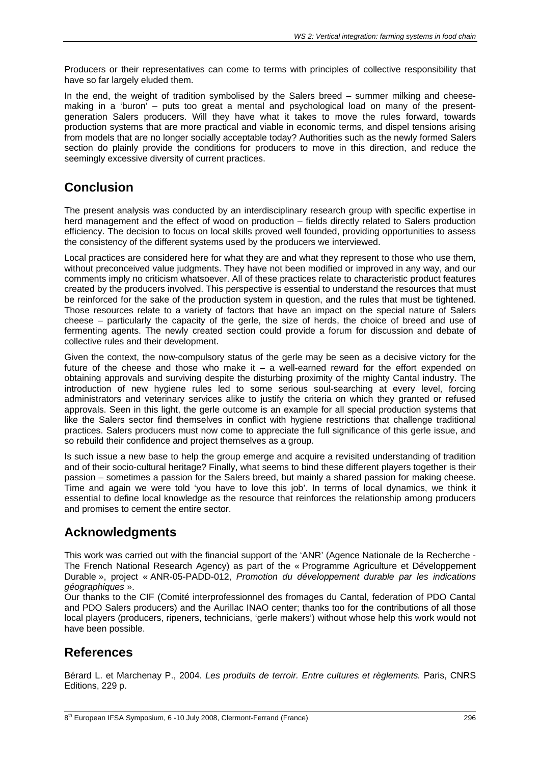Producers or their representatives can come to terms with principles of collective responsibility that have so far largely eluded them.

In the end, the weight of tradition symbolised by the Salers breed – summer milking and cheesemaking in a 'buron' – puts too great a mental and psychological load on many of the presentgeneration Salers producers. Will they have what it takes to move the rules forward, towards production systems that are more practical and viable in economic terms, and dispel tensions arising from models that are no longer socially acceptable today? Authorities such as the newly formed Salers section do plainly provide the conditions for producers to move in this direction, and reduce the seemingly excessive diversity of current practices.

## **Conclusion**

The present analysis was conducted by an interdisciplinary research group with specific expertise in herd management and the effect of wood on production – fields directly related to Salers production efficiency. The decision to focus on local skills proved well founded, providing opportunities to assess the consistency of the different systems used by the producers we interviewed.

Local practices are considered here for what they are and what they represent to those who use them, without preconceived value judgments. They have not been modified or improved in any way, and our comments imply no criticism whatsoever. All of these practices relate to characteristic product features created by the producers involved. This perspective is essential to understand the resources that must be reinforced for the sake of the production system in question, and the rules that must be tightened. Those resources relate to a variety of factors that have an impact on the special nature of Salers cheese – particularly the capacity of the gerle, the size of herds, the choice of breed and use of fermenting agents. The newly created section could provide a forum for discussion and debate of collective rules and their development.

Given the context, the now-compulsory status of the gerle may be seen as a decisive victory for the future of the cheese and those who make it  $-$  a well-earned reward for the effort expended on obtaining approvals and surviving despite the disturbing proximity of the mighty Cantal industry. The introduction of new hygiene rules led to some serious soul-searching at every level, forcing administrators and veterinary services alike to justify the criteria on which they granted or refused approvals. Seen in this light, the gerle outcome is an example for all special production systems that like the Salers sector find themselves in conflict with hygiene restrictions that challenge traditional practices. Salers producers must now come to appreciate the full significance of this gerle issue, and so rebuild their confidence and project themselves as a group.

Is such issue a new base to help the group emerge and acquire a revisited understanding of tradition and of their socio-cultural heritage? Finally, what seems to bind these different players together is their passion – sometimes a passion for the Salers breed, but mainly a shared passion for making cheese. Time and again we were told 'you have to love this job'. In terms of local dynamics, we think it essential to define local knowledge as the resource that reinforces the relationship among producers and promises to cement the entire sector.

## **Acknowledgments**

This work was carried out with the financial support of the 'ANR' (Agence Nationale de la Recherche - The French National Research Agency) as part of the « Programme Agriculture et Développement Durable », project « ANR-05-PADD-012, *Promotion du développement durable par les indications géographiques* ».

Our thanks to the CIF (Comité interprofessionnel des fromages du Cantal, federation of PDO Cantal and PDO Salers producers) and the Aurillac INAO center; thanks too for the contributions of all those local players (producers, ripeners, technicians, 'gerle makers') without whose help this work would not have been possible.

## **References**

Bérard L. et Marchenay P., 2004. *Les produits de terroir. Entre cultures et règlements.* Paris, CNRS Editions, 229 p.